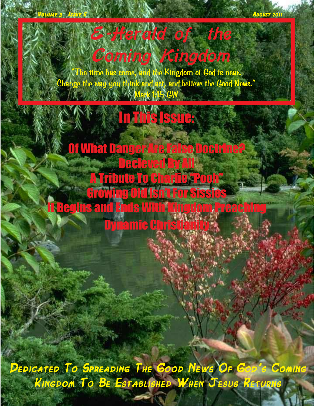**Volume 3 Issue 8 August 2011** 

Coming Kingdom **"The time has come, and the Kingdom of God is near. Change the way you think and act, and believe the Good News." Mark 1:15 GW**

E-Herald of the

# **The This Issue:**

Of What Danger Are False Doctrine? **Decieved By A** A Tribute To Charlie "Pooh" Growing Old Isn't For Sissies It Begins and Ends With Kingdom Preaching Dynamic Christianity

*Dedicated To Spreading The Good News Of God's Coming Kingdom To Be Established When Jesus Returns*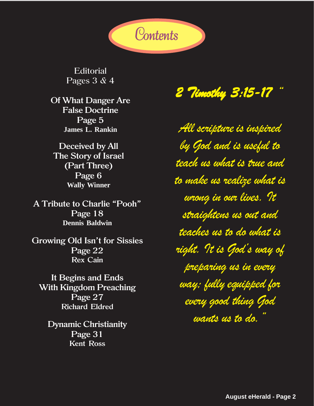

**Editorial** Pages 3 & 4

**Of What Danger Are False Doctrine Page 5 James L. Rankin**

**Deceived by All The Story of Israel (Part Three) Page 6 Wally Winner**

**A Tribute to Charlie "Pooh" Page 18 Dennis Baldwin**

**Growing Old Isn't for Sissies Page 22 Rex Cain**

**It Begins and Ends With Kingdom Preaching Page 27 Richard Eldred**

**Dynamic Christianity Page 31 Kent Ross**

*2 Timothy 3:15-17 "*

*All scripture is inspired by God and is useful to teach us what is true and to make us realize what is wrong in our lives. It straightens us out and teaches us to do what is right. It is God's way of preparing us in every way; fully equipped for every good thing God wants us to do."*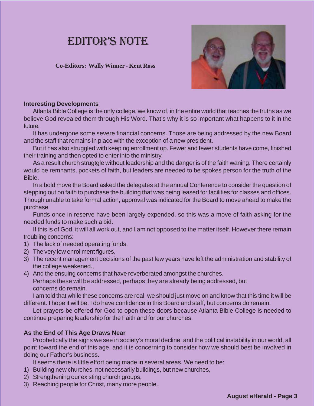### **EDITOR'S NOTE**

#### **Co-Editors: Wally Winner - Kent Ross**



#### **Interesting Developments**

Atlanta Bible College is the only college, we know of, in the entire world that teaches the truths as we believe God revealed them through His Word. That's why it is so important what happens to it in the future.

It has undergone some severe financial concerns. Those are being addressed by the new Board and the staff that remains in place with the exception of a new president.

But it has also struggled with keeping enrollment up. Fewer and fewer students have come, finished their training and then opted to enter into the ministry.

As a result church strugtgle without leadership and the danger is of the faith waning. There certainly would be remnants, pockets of faith, but leaders are needed to be spokes person for the truth of the Bible.

In a bold move the Board asked the delegates at the annual Conference to consider the question of stepping out on faith to purchase the building that was being leased for facilities for classes and offices. Though unable to take formal action, approval was indicated for the Board to move ahead to make the purchase.

Funds once in reserve have been largely expended, so this was a move of faith asking for the needed funds to make such a bid.

If this is of God, it will all work out, and I am not opposed to the matter itself. However there remain troubling concerns:

- 1) The lack of needed operating funds,
- 2) The very low enrollment figures,
- 3) The recent management decisions of the past few years have left the administration and stability of the college weakened.,
- 4) And the ensuing concerns that have reverberated amongst the churches. Perhaps these will be addressed, perhaps they are already being addressed, but concerns do remain.

I am told that while these concerns are real, we should just move on and know that this time it will be different. I hope it will be. I do have confidence in this Board and staff, but concerns do remain.

Let prayers be offered for God to open these doors because Atlanta Bible College is needed to continue preparing leadership for the Faith and for our churches.

#### **As the End of This Age Draws Near**

Prophetically the signs we see in society's moral decline, and the political instability in our world, all point toward the end of this age, and it is concerning to consider how we should best be involved in doing our Father's business.

It seems there is little effort being made in several areas. We need to be:

- 1) Building new churches, not necessarily buildings, but new churches,
- 2) Strengthening our existing church groups,
- 3) Reaching people for Christ, many more people.,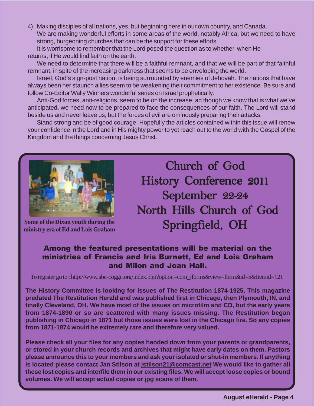4) Making disciples of all nations, yes, but beginning here in our own country, and Canada. We are making wonderful efforts in some areas of the world, notably Africa, but we need to have strong, burgeoning churches that can be the support for these efforts.

It is worrisome to remember that the Lord posed the question as to whether, when He returns, if He would find faith on the earth.

We need to determine that there will be a faithful remnant, and that we will be part of that faithful remnant, in spite of the increasing darkness that seems to be enveloping the world.

Israel, God's sign-post nation, is being surrounded by enemies of Jehovah. The nations that have always been her staunch allies seem to be weakening their commitment to her existence. Be sure and follow Co-Editor Wally Winners wonderful series on Israel prophetically.

Anti-God forces, anti-religions, seem to be on the increase, ad though we know that is what we've anticipated, we need now to be prepared to face the consequences of our faith. The Lord will stand beside us and never leave us, but the forces of evil are ominously preparing their attacks,

Stand strong and be of good courage. Hopefully the articles contained within this issue will renew your confidence in the Lord and in His mighty power to yet reach out to the world with the Gospel of the Kingdom and the things concerning Jesus Christ.



**Some of the Dixon youth during the ministry era of Ed and Lois Graham**

Church of God History Conference 2011 September 22-24 North Hills Church of God Springfield, OH

#### Among the featured presentations will be material on the ministries of Francis and Iris Burnett, Ed and Lois Graham and Milon and Joan Hall.

To register go to : http://www.abc-coggc.org/index.php?option=com\_jforms&view=form&id=5&Itemid=121

**The History Committee is looking for issues of The Restitution 1874-1925. This magazine predated The Restitution Herald and was published first in Chicago, then Plymouth, IN, and finally Cleveland, OH. We have most of the issues on microfilm and CD, but the early years from 1874-1890 or so are scattered with many issues missing. The Restitution began publishing in Chicago in 1871 but those issues were lost in the Chicago fire. So any copies from 1871-1874 would be extremely rare and therefore very valued.**

**Please check all your files for any copies handed down from your parents or grandparents, or stored in your church records and archives that might have early dates on them. Pastors please announce this to your members and ask your isolated or shut-in members. If anything is located please contact Jan Stilson at jstilson21@comcast.net We would like to gather all these lost copies and interfile them in our existing files. We will accept loose copies or bound volumes. We will accept actual copies or jpg scans of them.**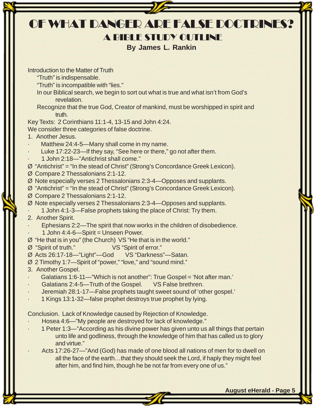| OF WHAT DANGER ARE FALSE DOCTRINES?                                                                                                                       |
|-----------------------------------------------------------------------------------------------------------------------------------------------------------|
| A BIBLE STUDY OUTLINE                                                                                                                                     |
| <b>By James L. Rankin</b>                                                                                                                                 |
|                                                                                                                                                           |
| Introduction to the Matter of Truth                                                                                                                       |
| "Truth" is indispensable.                                                                                                                                 |
| "Truth" is incompatible with "lies."                                                                                                                      |
| In our Biblical search, we begin to sort out what is true and what isn't from God's<br>revelation.                                                        |
| Recognize that the true God, Creator of mankind, must be worshipped in spirit and                                                                         |
| truth.                                                                                                                                                    |
| Key Texts: 2 Corinthians 11:1-4, 13-15 and John 4:24.                                                                                                     |
| We consider three categories of false doctrine.                                                                                                           |
| 1. Another Jesus.                                                                                                                                         |
| Matthew 24:4-5-Many shall come in my name.<br>Luke 17:22-23-If they say, "See here or there," go not after them.                                          |
| 1 John 2:18-"Antichrist shall come."                                                                                                                      |
| $\emptyset$ "Antichrist" = "In the stead of Christ" (Strong's Concordance Greek Lexicon).                                                                 |
| Ø Compare 2 Thessalonians 2:1-12.                                                                                                                         |
| Ø Note especially verses 2 Thessalonians 2:3-4 - Opposes and supplants.                                                                                   |
| $\emptyset$ "Antichrist" = "In the stead of Christ" (Strong's Concordance Greek Lexicon).                                                                 |
| Ø Compare 2 Thessalonians 2:1-12.                                                                                                                         |
| Ø Note especially verses 2 Thessalonians 2:3-4-Opposes and supplants.<br>1 John 4:1-3-False prophets taking the place of Christ: Try them.                |
| 2. Another Spirit.                                                                                                                                        |
| Ephesians 2:2—The spirit that now works in the children of disobedience.                                                                                  |
| 1 John 4:4-6-Spirit = Unseen Power.                                                                                                                       |
| Ø "He that is in you" (the Church) VS "He that is in the world."                                                                                          |
| Ø "Spirit of truth." VS "Spirit of error."                                                                                                                |
| Ø Acts 26:17-18-"Light"-God VS "Darkness"-Satan.<br>Ø 2 Timothy 1:7-Spirit of "power," "love," and "sound mind."                                          |
| 3. Another Gospel.                                                                                                                                        |
| Galatians 1:6-11—"Which is not another": True Gospel = 'Not after man.'                                                                                   |
| Galatians 2:4-5-Truth of the Gospel. VS False brethren.                                                                                                   |
| Jeremiah 28:1-17-False prophets taught sweet sound of 'other gospel.'                                                                                     |
| 1 Kings 13:1-32-false prophet destroys true prophet by lying.                                                                                             |
| Conclusion. Lack of Knowledge caused by Rejection of Knowledge.                                                                                           |
| Hosea 4:6-"My people are destroyed for lack of knowledge."                                                                                                |
| 1 Peter 1:3—"According as his divine power has given unto us all things that pertain                                                                      |
| unto life and godliness, through the knowledge of him that has called us to glory                                                                         |
| and virtue."                                                                                                                                              |
| Acts 17:26-27—"And (God) has made of one blood all nations of men for to dwell on                                                                         |
| all the face of the earththat they should seek the Lord, if haply they might feel<br>after him, and find him, though he be not far from every one of us." |
|                                                                                                                                                           |
|                                                                                                                                                           |

 **August eHerald - Page 5**

Ų

2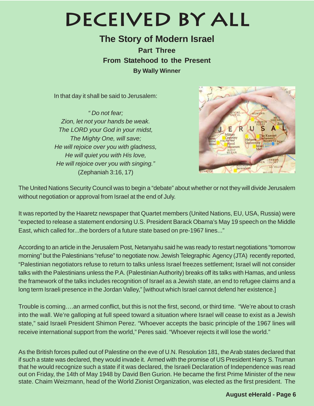## **Deceived By All**

**The Story of Modern Israel Part Three From Statehood to the Present By Wally Winner**

In that day it shall be said to Jerusalem:

" Do not fear; Zion, let not your hands be weak. The LORD your God in your midst, The Mighty One, will save; He will rejoice over you with gladness, He will quiet you with His love, He will rejoice over you with singing." (Zephaniah 3:16, 17)



The United Nations Security Council was to begin a "debate" about whether or not they will divide Jerusalem without negotiation or approval from Israel at the end of July.

It was reported by the Haaretz newspaper that Quartet members (United Nations, EU, USA, Russia) were "expected to release a statement endorsing U.S. President Barack Obama's May 19 speech on the Middle East, which called for...the borders of a future state based on pre-1967 lines..."

According to an article in the Jerusalem Post, Netanyahu said he was ready to restart negotiations "tomorrow morning" but the Palestinians "refuse" to negotiate now. Jewish Telegraphic Agency (JTA) recently reported, "Palestinian negotiators refuse to return to talks unless Israel freezes settlement; Israel will not consider talks with the Palestinians unless the P.A. (Palestinian Authority) breaks off its talks with Hamas, and unless the framework of the talks includes recognition of Israel as a Jewish state, an end to refugee claims and a long term Israeli presence in the Jordan Valley," [without which Israel cannot defend her existence.]

Trouble is coming….an armed conflict, but this is not the first, second, or third time. "We're about to crash into the wall. We're galloping at full speed toward a situation where Israel will cease to exist as a Jewish state," said Israeli President Shimon Perez. "Whoever accepts the basic principle of the 1967 lines will receive international support from the world," Peres said. "Whoever rejects it will lose the world."

As the British forces pulled out of Palestine on the eve of U.N. Resolution 181, the Arab states declared that if such a state was declared, they would invade it. Armed with the promise of US President Harry S. Truman that he would recognize such a state if it was declared, the Israeli Declaration of Independence was read out on Friday, the 14th of May 1948 by David Ben Gurion. He became the first Prime Minister of the new state. Chaim Weizmann, head of the World Zionist Organization, was elected as the first president. The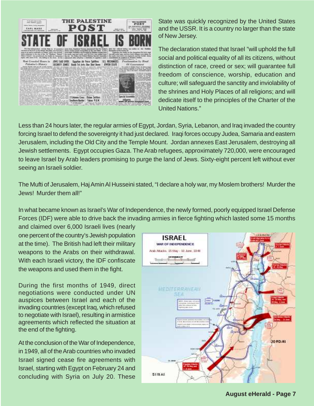

State was quickly recognized by the United States and the USSR. It is a country no larger than the state of New Jersey.

The declaration stated that Israel "will uphold the full social and political equality of all its citizens, without distinction of race, creed or sex; will guarantee full freedom of conscience, worship, education and culture; will safeguard the sanctity and inviolability of the shrines and Holy Places of all religions; and will dedicate itself to the principles of the Charter of the United Nations."

Less than 24 hours later, the regular armies of Egypt, Jordan, Syria, Lebanon, and Iraq invaded the country forcing Israel to defend the sovereignty it had just declared. Iraqi forces occupy Judea, Samaria and eastern Jerusalem, including the Old City and the Temple Mount. Jordan annexes East Jerusalem, destroying all Jewish settlements. Egypt occupies Gaza. The Arab refugees, approximately 720,000, were encouraged to leave Israel by Arab leaders promising to purge the land of Jews. Sixty-eight percent left without ever seeing an Israeli soldier.

The Mufti of Jerusalem, Haj Amin Al Husseini stated, "I declare a holy war, my Moslem brothers! Murder the Jews! Murder them all!"

In what became known as Israel's War of Independence, the newly formed, poorly equipped Israel Defense Forces (IDF) were able to drive back the invading armies in fierce fighting which lasted some 15 months

and claimed over 6,000 Israeli lives (nearly one percent of the country's Jewish population at the time). The British had left their military weapons to the Arabs on their withdrawal. With each Israeli victory, the IDF confiscate the weapons and used them in the fight.

During the first months of 1949, direct negotiations were conducted under UN auspices between Israel and each of the invading countries (except Iraq, which refused to negotiate with Israel), resulting in armistice agreements which reflected the situation at the end of the fighting.

At the conclusion of the War of Independence, in 1949, all of the Arab countries who invaded Israel signed cease fire agreements with Israel, starting with Egypt on February 24 and concluding with Syria on July 20. These

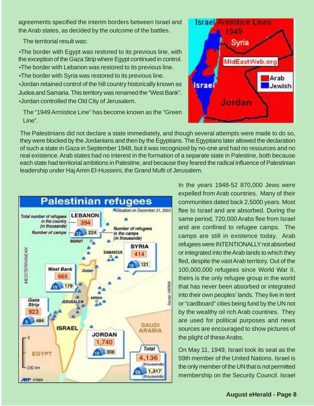agreements specified the interim borders between Israel and the Arab states, as decided by the outcome of the battles.

The territorial result was:

•The border with Egypt was restored to its previous line, with the exception of the Gaza Strip where Egypt continued in control. •The border with Lebanon was restored to its previous line.

•The border with Syria was restored to its previous line.

•Jordan retained control of the hill country historically known as Judea and Samaria. This territory was renamed the "West Bank". •Jordan controlled the Old City of Jerusalem.

The "1949 Armistice Line" has become known as the "Green Line".

The Palestinians did not declare a state immediately, and though several attempts were made to do so, they were blocked by the Jordanians and then by the Egyptians. The Egyptians later allowed the declaration of such a state in Gaza in September 1948, but it was recognized by no-one and had no resources and no real existence. Arab states had no interest in the formation of a separate state in Palestine, both because each state had territorial ambitions in Palestine, and because they feared the radical influence of Palestinian leadership under Haj Amin El-Husseini, the Grand Mufti of Jerusalem.



In the years 1948-52 870,000 Jews were expelled from Arab countries. Many of their communities dated back 2,5000 years. Most flee to Israel and are absorbed. During the same period, 720,000 Arabs flee from Israel and are confined to refugee camps. The camps are still in existence today. Arab refugees were INTENTIONALLY not absorbed or integrated into the Arab lands to which they fled, despite the vast Arab territory. Out of the 100,000,000 refugees since World War II, theirs is the only refugee group in the world that has never been absorbed or integrated into their own peoples' lands. They live in tent or "cardboard" cities being fund by the UN not by the wealthy oil rich Arab countries. They are used for political purposes and news sources are encouraged to show pictures of the plight of these Arabs.

On May 11, 1949, Israel took its seat as the 59th member of the United Nations. Israel is the only member of the UN that is not permitted membership on the Security Council. Israel

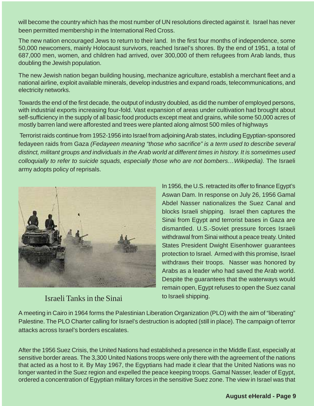will become the country which has the most number of UN resolutions directed against it. Israel has never been permitted membership in the International Red Cross.

The new nation encouraged Jews to return to their land. In the first four months of independence, some 50,000 newcomers, mainly Holocaust survivors, reached Israel's shores. By the end of 1951, a total of 687,000 men, women, and children had arrived, over 300,000 of them refugees from Arab lands, thus doubling the Jewish population.

The new Jewish nation began building housing, mechanize agriculture, establish a merchant fleet and a national airline, exploit available minerals, develop industries and expand roads, telecommunications, and electricity networks.

Towards the end of the first decade, the output of industry doubled, as did the number of employed persons, with industrial exports increasing four-fold. Vast expansion of areas under cultivation had brought about self-sufficiency in the supply of all basic food products except meat and grains, while some 50,000 acres of mostly barren land were afforested and trees were planted along almost 500 miles of highways

 Terrorist raids continue from 1952-1956 into Israel from adjoining Arab states, including Egyptian-sponsored fedayeen raids from Gaza (Fedayeen meaning "those who sacrifice" is a term used to describe several distinct, militant groups and individuals in the Arab world at different times in history. It is sometimes used colloquially to refer to suicide squads, especially those who are not bombers…Wikipedia). The Israeli army adopts policy of reprisals.



#### Israeli Tanks in the Sinai

In 1956, the U.S. retracted its offer to finance Egypt's Aswan Dam. In response on July 26, 1956 Gamal Abdel Nasser nationalizes the Suez Canal and blocks Israeli shipping. Israel then captures the Sinai from Egypt and terrorist bases in Gaza are dismantled. U.S.-Soviet pressure forces Israeli withdrawal from Sinai without a peace treaty. United States President Dwight Eisenhower guarantees protection to Israel. Armed with this promise, Israel withdraws their troops. Nasser was honored by Arabs as a leader who had saved the Arab world. Despite the guarantees that the waterways would remain open, Egypt refuses to open the Suez canal to Israeli shipping.

A meeting in Cairo in 1964 forms the Palestinian Liberation Organization (PLO) with the aim of "liberating" Palestine. The PLO Charter calling for Israel's destruction is adopted (still in place). The campaign of terror attacks across Israel's borders escalates.

After the 1956 Suez Crisis, the United Nations had established a presence in the Middle East, especially at sensitive border areas. The 3,300 United Nations troops were only there with the agreement of the nations that acted as a host to it. By May 1967, the Egyptians had made it clear that the United Nations was no longer wanted in the Suez region and expelled the peace keeping troops. Gamal Nasser, leader of Egypt, ordered a concentration of Egyptian military forces in the sensitive Suez zone. The view in Israel was that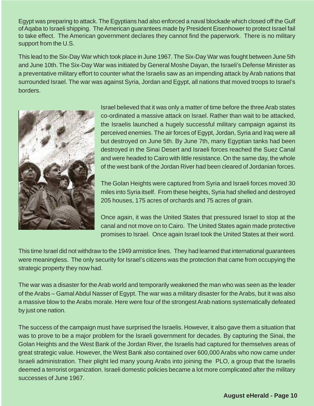Egypt was preparing to attack. The Egyptians had also enforced a naval blockade which closed off the Gulf of Aqaba to Israeli shipping. The American guarantees made by President Eisenhower to protect Israel fail to take effect. The American government declares they cannot find the paperwork. There is no military support from the U.S.

This lead to the Six-Day War which took place in June 1967. The Six-Day War was fought between June 5th and June 10th. The Six-Day War was initiated by General Moshe Dayan, the Israeli's Defense Minister as a preventative military effort to counter what the Israelis saw as an impending attack by Arab nations that surrounded Israel. The war was against Syria, Jordan and Egypt, all nations that moved troops to Israel's borders.



Israel believed that it was only a matter of time before the three Arab states co-ordinated a massive attack on Israel. Rather than wait to be attacked, the Israelis launched a hugely successful military campaign against its perceived enemies. The air forces of Egypt, Jordan, Syria and Iraq were all but destroyed on June 5th. By June 7th, many Egyptian tanks had been destroyed in the Sinai Desert and Israeli forces reached the Suez Canal and were headed to Cairo with little resistance. On the same day, the whole of the west bank of the Jordan River had been cleared of Jordanian forces.

The Golan Heights were captured from Syria and Israeli forces moved 30 miles into Syria itself. From these heights, Syria had shelled and destroyed 205 houses, 175 acres of orchards and 75 acres of grain.

Once again, it was the United States that pressured Israel to stop at the canal and not move on to Cairo. The United States again made protective promises to Israel. Once again Israel took the United States at their word.

This time Israel did not withdraw to the 1949 armistice lines. They had learned that international guarantees were meaningless. The only security for Israel's citizens was the protection that came from occupying the strategic property they now had.

The war was a disaster for the Arab world and temporarily weakened the man who was seen as the leader of the Arabs – Gamal Abdul Nasser of Egypt. The war was a military disaster for the Arabs, but it was also a massive blow to the Arabs morale. Here were four of the strongest Arab nations systematically defeated by just one nation.

The success of the campaign must have surprised the Israelis. However, it also gave them a situation that was to prove to be a major problem for the Israeli government for decades. By capturing the Sinai, the Golan Heights and the West Bank of the Jordan River, the Israelis had captured for themselves areas of great strategic value. However, the West Bank also contained over 600,000 Arabs who now came under Israeli administration. Their plight led many young Arabs into joining the PLO, a group that the Israelis deemed a terrorist organization. Israeli domestic policies became a lot more complicated after the military successes of June 1967.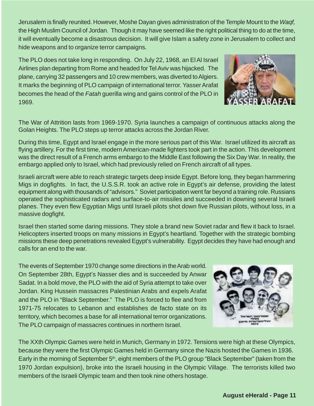**August eHerald - Page 11**

Jerusalem is finally reunited. However, Moshe Dayan gives administration of the Temple Mount to the Waqf, the High Muslim Council of Jordan. Though it may have seemed like the right political thing to do at the time, it will eventually become a disastrous decision. It will give Islam a safety zone in Jerusalem to collect and hide weapons and to organize terror campaigns.

The PLO does not take long in responding. On July 22, 1968, an El Al Israel Airlines plan departing from Rome and headed for Tel Aviv was hijacked. The plane, carrying 32 passengers and 10 crew members, was diverted to Algiers. It marks the beginning of PLO campaign of international terror. Yasser Arafat becomes the head of the Fatah guerilla wing and gains control of the PLO in 1969.

The War of Attrition lasts from 1969-1970. Syria launches a campaign of continuous attacks along the Golan Heights. The PLO steps up terror attacks across the Jordan River.

During this time, Egypt and Israel engage in the more serious part of this War. Israel utilized its aircraft as flying artillery. For the first time, modern American-made fighters took part in the action. This development was the direct result of a French arms embargo to the Middle East following the Six Day War. In reality, the embargo applied only to Israel, which had previously relied on French aircraft of all types.

Israeli aircraft were able to reach strategic targets deep inside Egypt. Before long, they began hammering Migs in dogfights. In fact, the U.S.S.R. took an active role in Egypt's air defense, providing the latest equipment along with thousands of "advisors." Soviet participation went far beyond a training role. Russians operated the sophisticated radars and surface-to-air missiles and succeeded in downing several Israeli planes. They even flew Egyptian Migs until Israeli pilots shot down five Russian pilots, without loss, in a massive dogfight.

Israel then started some daring missions. They stole a brand new Soviet radar and flew it back to Israel. Helicopters inserted troops on many missions in Egypt's heartland. Together with the strategic bombing missions these deep penetrations revealed Egypt's vulnerability. Egypt decides they have had enough and calls for an end to the war.

The events of September 1970 change some directions in the Arab world. On September 28th, Egypt's Nasser dies and is succeeded by Anwar Sadat. In a bold move, the PLO with the aid of Syria attempt to take over Jordan. King Hussein massacres Palestinian Arabs and expels Arafat and the PLO in "Black September." The PLO is forced to flee and from 1971-75 relocates to Lebanon and establishes de facto state on its territory, which becomes a base for all international terror organizations. The PLO campaign of massacres continues in northern Israel.

The XXth Olympic Games were held in Munich, Germany in 1972. Tensions were high at these Olympics, because they were the first Olympic Games held in Germany since the Nazis hosted the Games in 1936. Early in the morning of September 5<sup>th</sup>, eight members of the PLO group "Black September" (taken from the 1970 Jordan expulsion), broke into the Israeli housing in the Olympic Village. The terrorists killed two members of the Israeli Olympic team and then took nine others hostage.



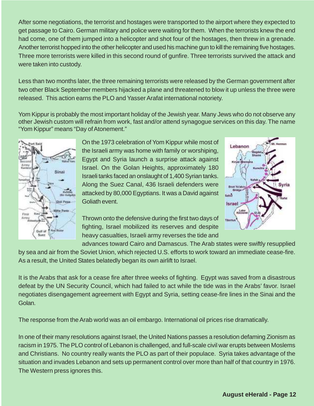After some negotiations, the terrorist and hostages were transported to the airport where they expected to get passage to Cairo. German military and police were waiting for them. When the terrorists knew the end had come, one of them jumped into a helicopter and shot four of the hostages, then threw in a grenade. Another terrorist hopped into the other helicopter and used his machine gun to kill the remaining five hostages. Three more terrorists were killed in this second round of gunfire. Three terrorists survived the attack and were taken into custody.

Less than two months later, the three remaining terrorists were released by the German government after two other Black September members hijacked a plane and threatened to blow it up unless the three were released. This action earns the PLO and Yasser Arafat international notoriety.

Yom Kippur is probably the most important holiday of the Jewish year. Many Jews who do not observe any other Jewish custom will refrain from work, fast and/or attend synagogue services on this day. The name "Yom Kippur" means "Day of Atonement."



On the 1973 celebration of Yom Kippur while most of the Israeli army was home with family or worshiping, Egypt and Syria launch a surprise attack against Israel. On the Golan Heights, approximately 180 Israeli tanks faced an onslaught of 1,400 Syrian tanks. Along the Suez Canal, 436 Israeli defenders were attacked by 80,000 Egyptians. It was a David against Goliath event.



Thrown onto the defensive during the first two days of fighting, Israel mobilized its reserves and despite heavy casualties, Israeli army reverses the tide and

advances toward Cairo and Damascus. The Arab states were swiftly resupplied by sea and air from the Soviet Union, which rejected U.S. efforts to work toward an immediate cease-fire. As a result, the United States belatedly began its own airlift to Israel.

It is the Arabs that ask for a cease fire after three weeks of fighting. Egypt was saved from a disastrous defeat by the UN Security Council, which had failed to act while the tide was in the Arabs' favor. Israel negotiates disengagement agreement with Egypt and Syria, setting cease-fire lines in the Sinai and the Golan.

The response from the Arab world was an oil embargo. International oil prices rise dramatically.

In one of their many resolutions against Israel, the United Nations passes a resolution defaming Zionism as racism in 1975. The PLO control of Lebanon is challenged, and full-scale civil war erupts between Moslems and Christians. No country really wants the PLO as part of their populace. Syria takes advantage of the situation and invades Lebanon and sets up permanent control over more than half of that country in 1976. The Western press ignores this.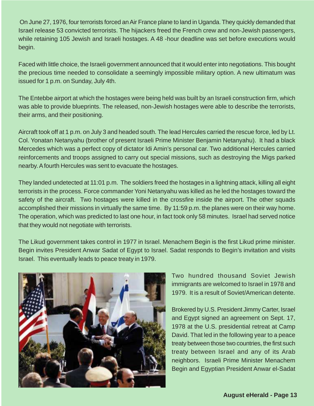On June 27, 1976, four terrorists forced an Air France plane to land in Uganda. They quickly demanded that Israel release 53 convicted terrorists. The hijackers freed the French crew and non-Jewish passengers, while retaining 105 Jewish and Israeli hostages. A 48 -hour deadline was set before executions would begin.

Faced with little choice, the Israeli government announced that it would enter into negotiations. This bought the precious time needed to consolidate a seemingly impossible military option. A new ultimatum was issued for 1 p.m. on Sunday, July 4th.

The Entebbe airport at which the hostages were being held was built by an Israeli construction firm, which was able to provide blueprints. The released, non-Jewish hostages were able to describe the terrorists, their arms, and their positioning.

Aircraft took off at 1 p.m. on July 3 and headed south. The lead Hercules carried the rescue force, led by Lt. Col. Yonatan Netanyahu (brother of present Israeli Prime Minister Benjamin Netanyahu). It had a black Mercedes which was a perfect copy of dictator Idi Amin's personal car. Two additional Hercules carried reinforcements and troops assigned to carry out special missions, such as destroying the Migs parked nearby. A fourth Hercules was sent to evacuate the hostages.

They landed undetected at 11:01 p.m. The soldiers freed the hostages in a lightning attack, killing all eight terrorists in the process. Force commander Yoni Netanyahu was killed as he led the hostages toward the safety of the aircraft. Two hostages were killed in the crossfire inside the airport. The other squads accomplished their missions in virtually the same time. By 11:59 p.m. the planes were on their way home. The operation, which was predicted to last one hour, in fact took only 58 minutes. Israel had served notice that they would not negotiate with terrorists.

The Likud government takes control in 1977 in Israel. Menachem Begin is the first Likud prime minister. Begin invites President Anwar Sadat of Egypt to Israel. Sadat responds to Begin's invitation and visits Israel. This eventually leads to peace treaty in 1979.



Two hundred thousand Soviet Jewish immigrants are welcomed to Israel in 1978 and 1979. It is a result of Soviet/American detente.

Brokered by U.S. President Jimmy Carter, Israel and Egypt signed an agreement on Sept. 17, 1978 at the U.S. presidential retreat at Camp David. That led in the following year to a peace treaty between those two countries, the first such treaty between Israel and any of its Arab neighbors. Israeli Prime Minister Menachem Begin and Egyptian President Anwar el-Sadat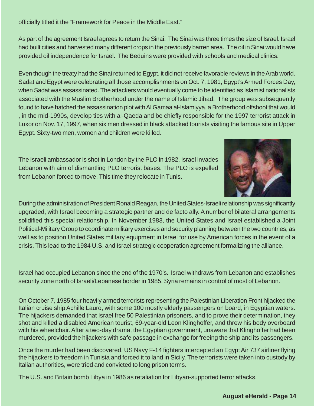officially titled it the "Framework for Peace in the Middle East."

As part of the agreement Israel agrees to return the Sinai. The Sinai was three times the size of Israel. Israel had built cities and harvested many different crops in the previously barren area. The oil in Sinai would have provided oil independence for Israel. The Beduins were provided with schools and medical clinics.

Even though the treaty had the Sinai returned to Egypt, it did not receive favorable reviews in the Arab world. Sadat and Egypt were celebrating all those accomplishments on Oct. 7, 1981, Egypt's Armed Forces Day, when Sadat was assassinated. The attackers would eventually come to be identified as Islamist nationalists associated with the Muslim Brotherhood under the name of Islamic Jihad. The group was subsequently found to have hatched the assassination plot with Al Gamaa al-Islamiyya, a Brotherhood offshoot that would , in the mid-1990s, develop ties with al-Qaeda and be chiefly responsible for the 1997 terrorist attack in Luxor on Nov. 17, 1997, when six men dressed in black attacked tourists visiting the famous site in Upper Egypt. Sixty-two men, women and children were killed.

The Israeli ambassador is shot in London by the PLO in 1982. Israel invades Lebanon with aim of dismantling PLO terrorist bases. The PLO is expelled from Lebanon forced to move. This time they relocate in Tunis.



During the administration of President Ronald Reagan, the United States-Israeli relationship was significantly upgraded, with Israel becoming a strategic partner and de facto ally. A number of bilateral arrangements solidified this special relationship. In November 1983, the United States and Israel established a Joint Political-Military Group to coordinate military exercises and security planning between the two countries, as well as to position United States military equipment in Israel for use by American forces in the event of a crisis. This lead to the 1984 U.S. and Israel strategic cooperation agreement formalizing the alliance.

Israel had occupied Lebanon since the end of the 1970's. Israel withdraws from Lebanon and establishes security zone north of Israeli/Lebanese border in 1985. Syria remains in control of most of Lebanon.

On October 7, 1985 four heavily armed terrorists representing the Palestinian Liberation Front hijacked the Italian cruise ship Achille Lauro, with some 100 mostly elderly passengers on board, in Egyptian waters. The hijackers demanded that Israel free 50 Palestinian prisoners, and to prove their determination, they shot and killed a disabled American tourist, 69-year-old Leon Klinghoffer, and threw his body overboard with his wheelchair. After a two-day drama, the Egyptian government, unaware that Klinghoffer had been murdered, provided the hijackers with safe passage in exchange for freeing the ship and its passengers.

Once the murder had been discovered, US Navy F-14 fighters intercepted an Egypt Air 737 airliner flying the hijackers to freedom in Tunisia and forced it to land in Sicily. The terrorists were taken into custody by Italian authorities, were tried and convicted to long prison terms.

The U.S. and Britain bomb Libya in 1986 as retaliation for Libyan-supported terror attacks.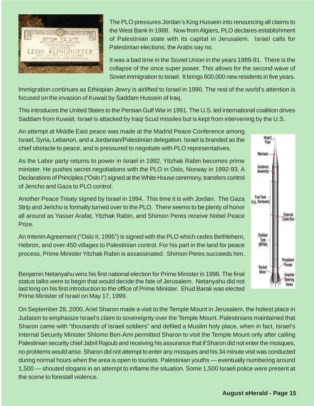

The PLO pressures Jordan's King Hussein into renouncing all claims to the West Bank in 1988. Now from Algiers, PLO declares establishment of Palestinian state with its capital in Jerusalem. Israel calls for Palestinian elections; the Arabs say no.

It was a bad time in the Soviet Union in the years 1989-91. There is the collapse of the once super power. This allows for the second wave of Soviet immigration to Israel. It brings 600,000 new residents in five years.

Immigration continues as Ethiopian Jewry is airlifted to Israel in 1990. The rest of the world's attention is focused on the invasion of Kuwait by Saddam Hussein of Iraq.

This introduces the United States to the Persian Gulf War in 1991. The U.S. led international coalition drives Saddam from Kuwait. Israel is attacked by Iraqi Scud missiles but is kept from intervening by the U.S.

An attempt at Middle East peace was made at the Madrid Peace Conference among Israel, Syria, Lebanon, and a Jordanian/Palestinian delegation. Israel is branded as the chief obstacle to peace, and is pressured to negotiate with PLO representatives.

As the Labor party returns to power in Israel in 1992, Yitzhak Rabin becomes prime minister. He pushes secret negotiations with the PLO in Oslo, Norway in 1992-93. A Declarations of Principles ("Oslo I") signed at the White House ceremony, transfers control of Jericho and Gaza to PLO control.

Another Peace Treaty signed by Israel in 1994. This time it is with Jordan. The Gaza Strip and Jericho is formally turned over to the PLO. There seems to be plenty of honor all around as Yasser Arafat, Yitzhak Rabin, and Shimon Peres receive Nobel Peace Prize.

An Interim Agreement ("Oslo II, 1995") is signed with the PLO which cedes Bethlehem, Hebron, and over 450 villages to Palestinian control. For his part in the land for peace process, Prime Minister Yitzhak Rabin is assassinated. Shimon Peres succeeds him.

Benjamin Netanyahu wins his first national election for Prime Minister in 1996. The final status talks were to begin that would decide the fate of Jerusalem. Netanyahu did not last long on his first introduction to the office of Prime Minister. Ehud Barak was elected Prime Minister of Israel on May 17, 1999.

On September 28, 2000, Ariel Sharon made a visit to the Temple Mount in Jerusalem, the holiest place in Judaism to emphasize Israel's claim to sovereignty over the Temple Mount. Palestinians maintained that Sharon came with "thousands of Israeli soldiers" and defiled a Muslim holy place, when in fact, Israel's Internal Security Minister Shlomo Ben-Ami permitted Sharon to visit the Temple Mount only after calling Palestinian security chief Jabril Rajoub and receiving his assurance that if Sharon did not enter the mosques, no problems would arise. Sharon did not attempt to enter any mosques and his 34 minute visit was conducted during normal hours when the area is open to tourists. Palestinian youths — eventually numbering around 1,500 — shouted slogans in an attempt to inflame the situation. Some 1,500 Israeli police were present at the scene to forestall violence.

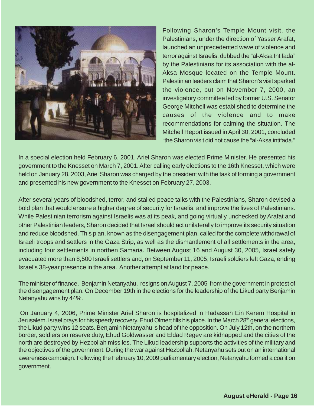

Following Sharon's Temple Mount visit, the Palestinians, under the direction of Yasser Arafat, launched an unprecedented wave of violence and terror against Israelis, dubbed the "al-Aksa Intifada" by the Palestinians for its association with the al-Aksa Mosque located on the Temple Mount. Palestinian leaders claim that Sharon's visit sparked the violence, but on November 7, 2000, an investigatory committee led by former U.S. Senator George Mitchell was established to determine the causes of the violence and to make recommendations for calming the situation. The Mitchell Report issued in April 30, 2001, concluded "the Sharon visit did not cause the "al-Aksa intifada."

In a special election held February 6, 2001, Ariel Sharon was elected Prime Minister. He presented his government to the Knesset on March 7, 2001. After calling early elections to the 16th Knesset, which were held on January 28, 2003, Ariel Sharon was charged by the president with the task of forming a government and presented his new government to the Knesset on February 27, 2003.

After several years of bloodshed, terror, and stalled peace talks with the Palestinians, Sharon devised a bold plan that would ensure a higher degree of security for Israelis, and improve the lives of Palestinians. While Palestinian terrorism against Israelis was at its peak, and going virtually unchecked by Arafat and other Palestinian leaders, Sharon decided that Israel should act unilaterally to improve its security situation and reduce bloodshed. This plan, known as the disengagement plan, called for the complete withdrawal of Israeli troops and settlers in the Gaza Strip, as well as the dismantlement of all settlements in the area, including four settlements in northen Samaria. Between August 16 and August 30, 2005, Israel safely evacuated more than 8,500 Israeli settlers and, on September 11, 2005, Israeli soldiers left Gaza, ending Israel's 38-year presence in the area. Another attempt at land for peace.

The minister of finance, Benjamin Netanyahu, resigns on August 7, 2005 from the government in protest of the disengagement plan. On December 19th in the elections for the leadership of the Likud party Benjamin Netanyahu wins by 44%.

 On January 4, 2006, Prime Minister Ariel Sharon is hospitalized in Hadassah Ein Kerem Hospital in Jerusalem. Israel prays for his speedy recovery. Ehud Olmert fills his place. In the March 28<sup>th</sup> general elections, the Likud party wins 12 seats. Benjamin Netanyahu is head of the opposition. On July 12th, on the northern border, soldiers on reserve duty, Ehud Goldwasser and Eldad Regev are kidnapped and the cities of the north are destroyed by Hezbollah missiles. The Likud leadership supports the activities of the military and the objectives of the government. During the war against Hezbollah, Netanyahu sets out on an international awareness campaign. Following the February 10, 2009 parliamentary election, Netanyahu formed a coalition government.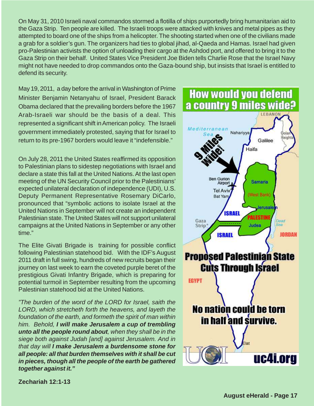On May 31, 2010 Israeli naval commandos stormed a flotilla of ships purportedly bring humanitarian aid to the Gaza Strip. Ten people are killed. The Israeli troops were attacked with knives and metal pipes as they attempted to board one of the ships from a helicopter. The shooting started when one of the civilians made a grab for a soldier's gun. The organizers had ties to global jihad, al-Qaeda and Hamas. Israel had given pro-Palestinian activists the option of unloading their cargo at the Ashdod port, and offered to bring it to the Gaza Strip on their behalf. United States Vice President Joe Biden tells Charlie Rose that the Israel Navy might not have needed to drop commandos onto the Gaza-bound ship, but insists that Israel is entitled to defend its security.

May 19, 2011, a day before the arrival in Washington of Prime Minister Benjamin Netanyahu of Israel, President Barack Obama declared that the prevailing borders before the 1967 Arab-Israeli war should be the basis of a deal. This represented a significant shift in American policy. The Israeli government immediately protested, saying that for Israel to return to its pre-1967 borders would leave it "indefensible."

On July 28, 2011 the United States reaffirmed its opposition to Palestinian plans to sidestep negotiations with Israel and declare a state this fall at the United Nations. At the last open meeting of the UN Security Council prior to the Palestinians' expected unilateral declaration of independence (UDI), U.S. Deputy Permanent Representative Rosemary DiCarlo, pronounced that "symbolic actions to isolate Israel at the United Nations in September will not create an independent Palestinian state. The United States will not support unilateral campaigns at the United Nations in September or any other time."

The Elite Givati Brigade is training for possible conflict following Palestinian statehood bid. With the IDF's August 2011 draft in full swing, hundreds of new recruits began their journey on last week to earn the coveted purple beret of the prestigious Givati Infantry Brigade, which is preparing for potential turmoil in September resulting from the upcoming Palestinian statehood bid at the United Nations.

"The burden of the word of the LORD for Israel, saith the LORD, which stretcheth forth the heavens, and layeth the foundation of the earth, and formeth the spirit of man within him. Behold, **I will make Jerusalem a cup of trembling unto all the people round about**, when they shall be in the siege both against Judah [and] against Jerusalem. And in that day will **I make Jerusalem a burdensome stone for all people: all that burden themselves with it shall be cut in pieces, though all the people of the earth be gathered together against it."**



**Zechariah 12:1-13**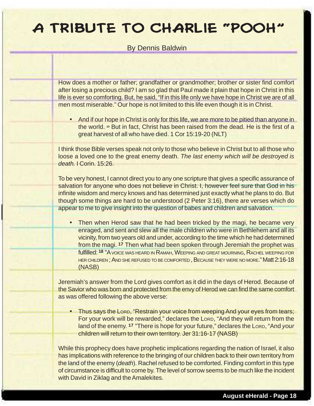### A TRIBUTE TO CHARLIE "POO!

By Dennis Baldwin

How does a mother or father; grandfather or grandmother; brother or sister find comfort after losing a precious child? I am so glad that Paul made it plain that hope in Christ in this life is ever so comforting. But, he said, "If in this life only we have hope in Christ we are of all men most miserable." Our hope is not limited to this life even though it is in Christ.

• And if our hope in Christ is only for this life, we are more to be pitied than anyone in the world. **20** But in fact, Christ has been raised from the dead. He is the first of a great harvest of all who have died. 1 Cor 15:19-20 (NLT)

I think those Bible verses speak not only to those who believe in Christ but to all those who loose a loved one to the great enemy death. The last enemy which will be destroyed is death. I Corin. 15:26.

To be very honest, I cannot direct you to any one scripture that gives a specific assurance of salvation for anyone who does not believe in Christ. I, however feel sure that God in his infinite wisdom and mercy knows and has determined just exactly what he plans to do. But though some things are hard to be understood (2 Peter 3:16), there are verses which do appear to me to give insight into the question of babes and children and salvation.

Then when Herod saw that he had been tricked by the magi, he became very enraged, and sent and slew all the male children who were in Bethlehem and all its vicinity, from two years old and under, according to the time which he had determined from the magi. **17** Then what had been spoken through Jeremiah the prophet was fulfilled: **18** "A VOICE WAS HEARD IN RAMAH, WEEPING AND GREAT MOURNING, RACHEL WEEPING FOR HER CHILDREN; AND SHE REFUSED TO BE COMFORTED, BECAUSE THEY WERE NO MORE." Matt 2:16-18 (NASB)

Jeremiah's answer from the Lord gives comfort as it did in the days of Herod. Because of the Savior who was born and protected from the envy of Herod we can find the same comfort as was offered following the above verse:

• Thus says the Lorp, "Restrain your voice from weeping And your eyes from tears; For your work will be rewarded," declares the LORD, "And they will return from the land of the enemy. <sup>17</sup> "There is hope for your future," declares the Lorp, "And your children will return to their own territory. Jer 31:16-17 (NASB)

While this prophecy does have prophetic implications regarding the nation of Israel, it also has implications with reference to the bringing of our children back to their own territory from the land of the enemy (death). Rachel refused to be comforted. Finding comfort in this type of circumstance is difficult to come by. The level of sorrow seems to be much like the incident with David in Ziklag and the Amalekites.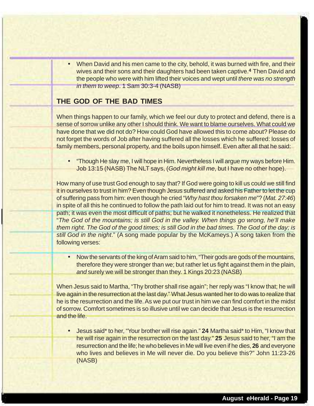When David and his men came to the city, behold, it was burned with fire, and their wives and their sons and their daughters had been taken captive.**4** Then David and the people who were with him lifted their voices and wept until there was no strength in them to weep. 1 Sam 30:3-4 (NASB)

#### **THE GOD OF THE BAD TIMES**

When things happen to our family, which we feel our duty to protect and defend, there is a sense of sorrow unlike any other I should think. We want to blame ourselves. What could we have done that we did not do? How could God have allowed this to come about? Please do not forget the words of Job after having suffered all the losses which he suffered: losses of family members, personal property, and the boils upon himself. Even after all that he said:

• "Though He slay me, I will hope in Him. Nevertheless I will argue my ways before Him. Job 13:15 (NASB) The NLT says, (God might kill me, but I have no other hope).

How many of use trust God enough to say that? If God were going to kill us could we still find it in ourselves to trust in him? Even though Jesus suffered and asked his Father to let the cup of suffering pass from him: even though he cried "Why hast thou forsaken me"? (Mat. 27:46) in spite of all this he continued to follow the path laid out for him to tread. It was not an easy path; it was even the most difficult of paths; but he walked it nonetheless. He realized that "The God of the mountains; is still God in the valley. When things go wrong, he'll make them right. The God of the good times; is still God in the bad times. The God of the day; is still God in the night." (A song made popular by the McKameys.) A song taken from the following verses:

• Now the servants of the king of Aram said to him, "Their gods are gods of the mountains, therefore they were stronger than we; but rather let us fight against them in the plain, and surely we will be stronger than they. 1 Kings 20:23 (NASB)

When Jesus said to Martha, "Thy brother shall rise again"; her reply was "I know that; he will live again in the resurrection at the last day." What Jesus wanted her to do was to realize that he is the resurrection and the life. As we put our trust in him we can find comfort in the midst of sorrow. Comfort sometimes is so illusive until we can decide that Jesus is the resurrection and the life.

• Jesus said\* to her, "Your brother will rise again." **24** Martha said\* to Him, "I know that he will rise again in the resurrection on the last day." **25** Jesus said to her, "I am the resurrection and the life; he who believes in Me will live even if he dies, **26** and everyone who lives and believes in Me will never die. Do you believe this?" John 11:23-26 (NASB)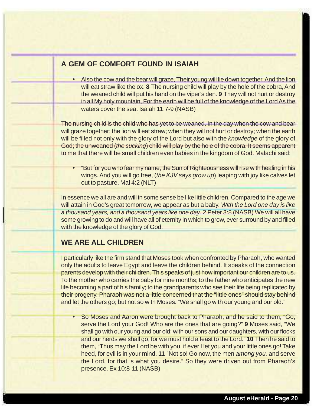#### **A GEM OF COMFORT FOUND IN ISAIAH**

• Also the cow and the bear will graze, Their young will lie down together, And the lion will eat straw like the ox. **8** The nursing child will play by the hole of the cobra, And the weaned child will put his hand on the viper's den. **9** They will not hurt or destroy in all My holy mountain, For the earth will be full of the knowledge of the Lord As the waters cover the sea. Isaiah 11:7-9 (NASB)

The nursing child is the child who has yet to be weaned. In the day when the cow and bear will graze together; the lion will eat straw; when they will not hurt or destroy; when the earth will be filled not only with the glory of the Lord but also with the knowledge of the glory of God; the unweaned (the sucking) child will play by the hole of the cobra. It seems apparent to me that there will be small children even babies in the kingdom of God. Malachi said:

• "But for you who fear my name, the Sun of Righteousness will rise with healing in his wings. And you will go free, *(the KJV says grow up)* leaping with joy like calves let out to pasture. Mal 4:2 (NLT)

In essence we all are and will in some sense be like little children. Compared to the age we will attain in God's great tomorrow, we appear as but a baby. With the Lord one day is like a thousand years, and a thousand years like one day. 2 Peter 3:8 (NASB) We will all have some growing to do and will have all of eternity in which to grow, ever surround by and filled with the knowledge of the glory of God.

#### **WE ARE ALL CHILDREN**

I particularly like the firm stand that Moses took when confronted by Pharaoh, who wanted only the adults to leave Egypt and leave the children behind. It speaks of the connection parents develop with their children. This speaks of just how important our children are to us. To the mother who carries the baby for nine months; to the father who anticipates the new life becoming a part of his family; to the grandparents who see their life being replicated by their progeny. Pharaoh was not a little concerned that the "little ones" should stay behind and let the others go; but not so with Moses. "We shall go with our young and our old."

• So Moses and Aaron were brought back to Pharaoh, and he said to them, "Go, serve the Lord your God! Who are the ones that are going?" **9** Moses said, "We shall go with our young and our old; with our sons and our daughters, with our flocks and our herds we shall go, for we must hold a feast to the Lord." **10** Then he said to them, "Thus may the Lord be with you, if ever I let you and your little ones go! Take heed, for evil is in your mind. **11** "Not so! Go now, the men among you, and serve the Lord, for that is what you desire." So they were driven out from Pharaoh's presence. Ex 10:8-11 (NASB)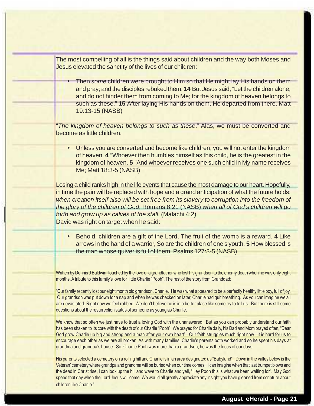The most compelling of all is the things said about children and the way both Moses and Jesus elevated the sanctity of the lives of our children:

Then some children were brought to Him so that He might lay His hands on them and pray; and the disciples rebuked them. **14** But Jesus said, "Let the children alone, and do not hinder them from coming to Me; for the kingdom of heaven belongs to such as these." **15** After laying His hands on them, He departed from there. Matt 19:13-15 (NASB)

"The kingdom of heaven belongs to such as these." Alas, we must be converted and become as little children.

• Unless you are converted and become like children, you will not enter the kingdom of heaven. **4** "Whoever then humbles himself as this child, he is the greatest in the kingdom of heaven. **5** "And whoever receives one such child in My name receives Me; Matt 18:3-5 (NASB)

Losing a child ranks high in the life events that cause the most damage to our heart. Hopefully, in time the pain will be replaced with hope and a grand anticipation of what the future holds; when creation itself also will be set free from its slavery to corruption into the freedom of the glory of the children of God; Romans 8:21 (NASB) when all of God's children will go forth and grow up as calves of the stall. (Malachi 4:2) David was right on target when he said:

• Behold, children are a gift of the Lord, The fruit of the womb is a reward. **4** Like arrows in the hand of a warrior, So are the children of one's youth. **5** How blessed is the man whose quiver is full of them; Psalms 127:3-5 (NASB)

Written by Dennis J Baldwin; touched by the love of a grandfather who lost his grandson to the enemy death when he was only eight months. A tribute to this family's love for little Charlie "Pooh". The rest of the story from Granddad:

"Our family recently lost our eight month old grandson, Charlie. He was what appeared to be a perfectly healthy little boy, full of joy. Our grandson was put down for a nap and when he was checked on later, Charlie had quit breathing. As you can imagine we all are devastated. Right now we feel robbed. We don't believe he is in a better place like some try to tell us. But there is still some questions about the resurrection status of someone as young as Charlie.

We know that so often we just have to trust a loving God with the unanswered. But as you can probably understand our faith has been shaken to its core with the death of our Charlie "Pooh". We prayed for Charlie daily, his Dad and Mom prayed often, "Dear God grow Charlie up big and strong and a man after your own heart". Our faith struggles much right now. It is hard for us to encourage each other as we are all broken. As with many families, Charlie's parents both worked and so he spent his days at grandma and grandpa's house. So, Charlie Pooh was more than a grandson, he was the focus of our days.

His parents selected a cemetery on a rolling hill and Charlie is in an area designated as "Babyland". Down in the valley below is the Veteran' cemetery where grandpa and grandma will be buried when our time comes. I can imagine when that last trumpet blows and the dead in Christ rise, I can look up the hill and wave to Charlie and yell, "Hey Pooh this is what we been waiting for". May God speed that day when the Lord Jesus will come. We would all greatly appreciate any insight you have gleaned from scripture about children like Charlie."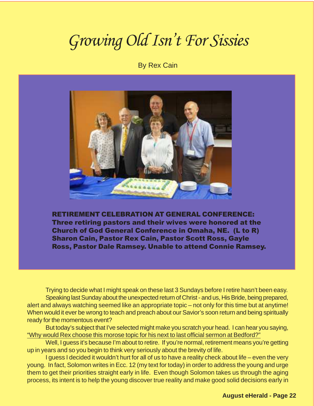### *Growing Old Isn't For Sissies*

By Rex Cain



RETIREMENT CELEBRATION AT GENERAL CONFERENCE: Three retiring pastors and their wives were honored at the Church of God General Conference in Omaha, NE. (L to R) Sharon Cain, Pastor Rex Cain, Pastor Scott Ross, Gayle Ross, Pastor Dale Ramsey. Unable to attend Connie Ramsey.

Trying to decide what I might speak on these last 3 Sundays before I retire hasn't been easy. Speaking last Sunday about the unexpected return of Christ - and us, His Bride, being prepared, alert and always watching seemed like an appropriate topic – not only for this time but at anytime! When would it ever be wrong to teach and preach about our Savior's soon return and being spiritually ready for the momentous event?

But today's subject that I've selected might make you scratch your head. I can hear you saying, "Why would Rex choose this morose topic for his next to last official sermon at Bedford?"

Well, I guess it's because I'm about to retire. If you're normal, retirement means you're getting up in years and so you begin to think very seriously about the brevity of life.

I guess I decided it wouldn't hurt for all of us to have a reality check about life – even the very young. In fact, Solomon writes in Ecc. 12 (my text for today) in order to address the young and urge them to get their priorities straight early in life. Even though Solomon takes us through the aging process, its intent is to help the young discover true reality and make good solid decisions early in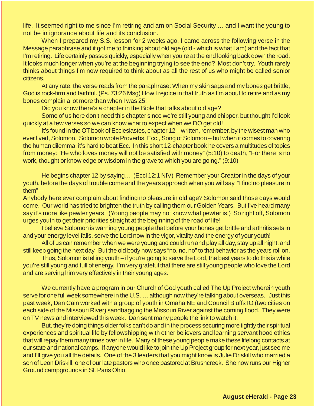life. It seemed right to me since I'm retiring and am on Social Security … and I want the young to not be in ignorance about life and its conclusion.

When I prepared my S.S. lesson for 2 weeks ago, I came across the following verse in the Message paraphrase and it got me to thinking about old age (old - which is what I am) and the fact that I'm retiring. Life certainly passes quickly, especially when you're at the end looking back down the road. It looks much longer when you're at the beginning trying to see the end? Most don't try. Youth rarely thinks about things I'm now required to think about as all the rest of us who might be called senior citizens.

At any rate, the verse reads from the paraphrase: When my skin sags and my bones get brittle, God is rock-firm and faithful. (Ps. 73:26 Msg) How I rejoice in that truth as I'm about to retire and as my bones complain a lot more than when I was 25!

Did you know there's a chapter in the Bible that talks about old age?

Some of us here don't need this chapter since we're still young and chipper, but thought I'd look quickly at a few verses so we can know what to expect when we DO get old!

It's found in the OT book of Ecclesiastes, chapter 12 – written, remember, by the wisest man who ever lived, Solomon. Solomon wrote Proverbs, Ecc., Song of Solomon – but when it comes to covering the human dilemma, it's hard to beat Ecc. In this short 12-chapter book he covers a multitudes of topics from money: "He who loves money will not be satisfied with money" (5:10) to death, "For there is no work, thought or knowledge or wisdom in the grave to which you are going." (9:10)

He begins chapter 12 by saying… (Eccl 12:1 NIV) Remember your Creator in the days of your youth, before the days of trouble come and the years approach when you will say, "I find no pleasure in them"—

Anybody here ever complain about finding no pleasure in old age? Solomon said those days would come. Our world has tried to brighten the truth by calling them our Golden Years. But I've heard many say it's more like pewter years! (Young people may not know what pewter is.) So right off, Solomon urges youth to get their priorities straight at the beginning of the road of life!

I believe Solomon is warning young people that before your bones get brittle and arthritis sets in and your energy level falls, serve the Lord now in the vigor, vitality and the energy of your youth!

All of us can remember when we were young and could run and play all day, stay up all night, and still keep going the next day. But the old body now says "no, no, no" to that behavior as the years roll on.

Thus, Solomon is telling youth – if you're going to serve the Lord, the best years to do this is while you're still young and full of energy. I'm very grateful that there are still young people who love the Lord and are serving him very effectively in their young ages.

We currently have a program in our Church of God youth called The Up Project wherein youth serve for one full week somewhere in the U.S. … although now they're talking about overseas. Just this past week, Dan Cain worked with a group of youth in Omaha NE and Council Bluffs IO (two cities on each side of the Missouri River) sandbagging the Missouri River against the coming flood. They were on TV news and interviewed this week. Dan sent many people the link to watch it.

But, they're doing things older folks can't do and in the process securing more tightly their spiritual experiences and spiritual life by fellowshipping with other believers and learning servant hood ethics that will repay them many times over in life. Many of these young people make these lifelong contacts at our state and national camps. If anyone would like to join the Up Project group for next year, just see me and I'll give you all the details. One of the 3 leaders that you might know is Julie Driskill who married a son of Leon Driskill, one of our late pastors who once pastored at Brushcreek. She now runs our Higher Ground campgrounds in St. Paris Ohio.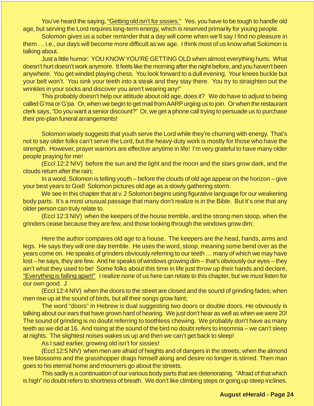You've heard the saying, "Getting old isn't for sissies." Yes, you have to be tough to handle old age, but serving the Lord requires long-term energy, which is reserved primarily for young people.

Solomon gives us a sober reminder that a day will come when we'll say I find no pleasure in them … i.e., our days will become more difficult as we age. I think most of us know what Solomon is talking about.

Just a little humor: YOU KNOW YOU'RE GETTING OLD when almost everything hurts. What doesn't hurt doesn't work anymore. It feels like the morning after the night before, and you haven't been anywhere. You get winded playing chess. You look forward to a dull evening. Your knees buckle but your belt won't. You sink your teeth into a steak and they stay there. You try to straighten out the wrinkles in your socks and discover you aren't wearing any!"

This probably doesn't help our attitude about old age, does it? We do have to adjust to being called G'ma or G'pa. Or, when we begin to get mail from AARP urging us to join. Or when the restaurant clerk says, "Do you want a senior discount?" Or, we get a phone call trying to persuade us to purchase their pre-plan funeral arrangements!

Solomon wisely suggests that youth serve the Lord while they're churning with energy. That's not to say older folks can't serve the Lord, but the heavy-duty work is mostly for those who have the strength. However, prayer warriors are effective anytime in life! I'm very grateful to have many older people praying for me!

(Eccl 12:2 NIV) before the sun and the light and the moon and the stars grow dark, and the clouds return after the rain;

In a word, Solomon is telling youth – before the clouds of old age appear on the horizon – give your best years to God! Solomon pictures old age as a slowly gathering storm.

We see in this chapter that at v. 2 Solomon begins using figurative language for our weakening body parts. It's a most unusual passage that many don't realize is in the Bible. But it's one that any older person can truly relate to.

(Eccl 12:3 NIV) when the keepers of the house tremble, and the strong men stoop, when the grinders cease because they are few, and those looking through the windows grow dim;

Here the author compares old age to a house. The keepers are the head, hands, arms and legs. He says they will one day tremble. He uses the word, stoop, meaning some bend over as the years come on. He speaks of grinders obviously referring to our teeth … many of which we may have lost – he says, they are few. And he speaks of windows growing dim – that's obviously our eyes – they ain't what they used to be! Some folks about this time in life just throw up their hands and declare, "Everything is falling apart!" I realize none of us here can relate to this chapter, but we must listen for our own good. J

(Eccl 12:4 NIV) when the doors to the street are closed and the sound of grinding fades; when men rise up at the sound of birds, but all their songs grow faint;

The word "doors" in Hebrew is dual suggesting two doors or double doors. He obviously is talking about our ears that have grown hard of hearing. We just don't hear as well as when we were 20! The sound of grinding is no doubt referring to toothless chewing. We probably don't have as many teeth as we did at 16. And rising at the sound of the bird no doubt refers to insomnia – we can't sleep at nights. The slightest noises wakes us up and then we can't get back to sleep!

As I said earlier, growing old isn't for sissies!

(Eccl 12:5 NIV) when men are afraid of heights and of dangers in the streets; when the almond tree blossoms and the grasshopper drags himself along and desire no longer is stirred. Then man goes to his eternal home and mourners go about the streets.

This sadly is a continuation of our various body parts that are deteriorating. "Afraid of that which is high" no doubt refers to shortness of breath. We don't like climbing steps or going up steep inclines.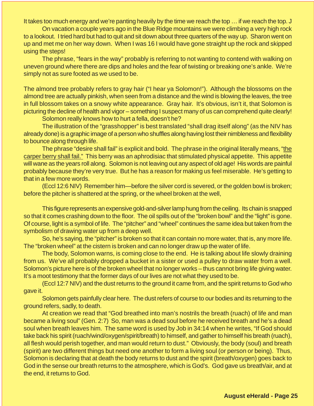It takes too much energy and we're panting heavily by the time we reach the top … if we reach the top. J

On vacation a couple years ago in the Blue Ridge mountains we were climbing a very high rock to a lookout. I tried hard but had to quit and sit down about three quarters of the way up. Sharon went on up and met me on her way down. When I was 16 I would have gone straight up the rock and skipped using the steps!

The phrase, "fears in the way" probably is referring to not wanting to contend with walking on uneven ground where there are dips and holes and the fear of twisting or breaking one's ankle. We're simply not as sure footed as we used to be.

The almond tree probably refers to gray hair ("I hear ya Solomon!"). Although the blossoms on the almond tree are actually pinkish, when seen from a distance and the wind is blowing the leaves, the tree in full blossom takes on a snowy white appearance. Gray hair. It's obvious, isn't it, that Solomon is picturing the decline of health and vigor – something I suspect many of us can comprehend quite clearly!

Solomon really knows how to hurt a fella, doesn't he?

The illustration of the "grasshopper" is best translated "shall drag itself along" (as the NIV has already done) is a graphic image of a person who shuffles along having lost their nimbleness and flexibility to bounce along through life.

The phrase "desire shall fail" is explicit and bold. The phrase in the original literally means, "the carper berry shall fail." This berry was an aphrodisiac that stimulated physical appetite. This appetite will wane as the years roll along. Solomon is not leaving out any aspect of old age! His words are painful probably because they're very true. But he has a reason for making us feel miserable. He's getting to that in a few more words.

(Eccl 12:6 NIV) Remember him—before the silver cord is severed, or the golden bowl is broken; before the pitcher is shattered at the spring, or the wheel broken at the well,

This figure represents an expensive gold-and-silver lamp hung from the ceiling. Its chain is snapped so that it comes crashing down to the floor. The oil spills out of the "broken bowl" and the "light" is gone. Of course, light is a symbol of life. The "pitcher" and "wheel" continues the same idea but taken from the symbolism of drawing water up from a deep well.

So, he's saying, the "pitcher" is broken so that it can contain no more water, that is, any more life. The "broken wheel" at the cistern is broken and can no longer draw up the water of life.

The body, Solomon warns, is coming close to the end. He is talking about life slowly draining from us. We've all probably dropped a bucket in a sister or used a pulley to draw water from a well. Solomon's picture here is of the broken wheel that no longer works – thus cannot bring life giving water. It's a moot testimony that the former days of our lives are not what they used to be.

(Eccl 12:7 NIV) and the dust returns to the ground it came from, and the spirit returns to God who gave it.

Solomon gets painfully clear here. The dust refers of course to our bodies and its returning to the ground refers, sadly, to death.

At creation we read that "God breathed into man's nostrils the breath (ruach) of life and man became a living soul" (Gen. 2:7) So, man was a dead soul before he received breath and he's a dead soul when breath leaves him. The same word is used by Job in 34:14 when he writes, "If God should take back his spirit (ruach/wind/oxygen/spirit/breath) to himself, and gather to himself his breath (ruach), all flesh would perish together, and man would return to dust." Obviously, the body (soul) and breath (spirit) are two different things but need one another to form a living soul (or person or being). Thus, Solomon is declaring that at death the body returns to dust and the spirit (breath/oxygen) goes back to God in the sense our breath returns to the atmosphere, which is God's. God gave us breath/air, and at the end, it returns to God.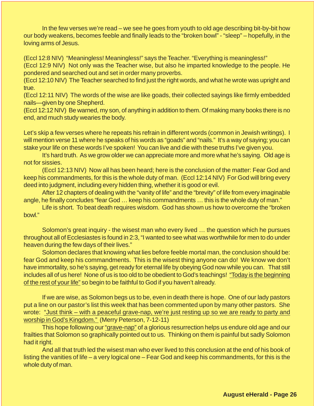In the few verses we're read – we see he goes from youth to old age describing bit-by-bit how our body weakens, becomes feeble and finally leads to the "broken bowl" - "sleep" – hopefully, in the loving arms of Jesus.

(Eccl 12:8 NIV) "Meaningless! Meaningless!" says the Teacher. "Everything is meaningless!"

(Eccl 12:9 NIV) Not only was the Teacher wise, but also he imparted knowledge to the people. He pondered and searched out and set in order many proverbs.

(Eccl 12:10 NIV) The Teacher searched to find just the right words, and what he wrote was upright and true.

(Eccl 12:11 NIV) The words of the wise are like goads, their collected sayings like firmly embedded nails—given by one Shepherd.

(Eccl 12:12 NIV) Be warned, my son, of anything in addition to them. Of making many books there is no end, and much study wearies the body.

Let's skip a few verses where he repeats his refrain in different words (common in Jewish writings). I will mention verse 11 where he speaks of his words as "goads" and "nails." It's a way of saying; you can stake your life on these words I've spoken! You can live and die with these truths I've given you.

It's hard truth. As we grow older we can appreciate more and more what he's saying. Old age is not for sissies.

(Eccl 12:13 NIV) Now all has been heard; here is the conclusion of the matter: Fear God and keep his commandments, for this is the whole duty of man. (Eccl 12:14 NIV) For God will bring every deed into judgment, including every hidden thing, whether it is good or evil.

After 12 chapters of dealing with the "vanity of life" and the "brevity" of life from every imaginable angle, he finally concludes "fear God … keep his commandments … this is the whole duty of man."

Life is short. To beat death requires wisdom. God has shown us how to overcome the "broken bowl."

Solomon's great inquiry - the wisest man who every lived … the question which he pursues throughout all of Ecclesiastes is found in 2:3, "I wanted to see what was worthwhile for men to do under heaven during the few days of their lives."

Solomon declares that knowing what lies before feeble mortal man, the conclusion should be: fear God and keep his commandments. This is the wisest thing anyone can do! We know we don't have immortality, so he's saying, get ready for eternal life by obeying God now while you can. That still includes all of us here! None of us is too old to be obedient to God's teachings! "Today is the beginning of the rest of your life" so begin to be faithful to God if you haven't already.

If we are wise, as Solomon begs us to be, even in death there is hope. One of our lady pastors put a line on our pastor's list this week that has been commented upon by many other pastors. She wrote: "Just think – with a peaceful grave-nap, we're just resting up so we are ready to party and worship in God's Kingdom." (Merry Peterson, 7-12-11)

This hope following our "grave-nap" of a glorious resurrection helps us endure old age and our frailties that Solomon so graphically pointed out to us. Thinking on them is painful but sadly Solomon had it right.

And all that truth led the wisest man who ever lived to this conclusion at the end of his book of listing the vanities of life – a very logical one – Fear God and keep his commandments, for this is the whole duty of man.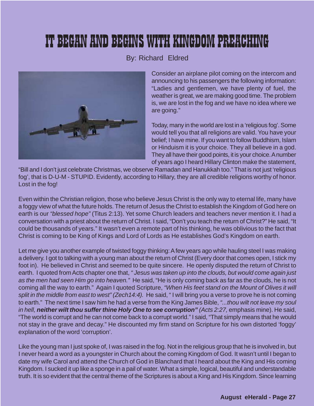### IT BEGAN AND BEGINS WITH KINGDOM PREACHI

#### By: Richard Eldred



Consider an airplane pilot coming on the intercom and announcing to his passengers the following information: "Ladies and gentlemen, we have plenty of fuel, the weather is great, we are making good time. The problem is, we are lost in the fog and we have no idea where we are going."

Today, many in the world are lost in a 'religious fog'. Some would tell you that all religions are valid. You have your belief; I have mine. If you want to follow Buddhism, Islam or Hinduism it is your choice. They all believe in a god. They all have their good points, it is your choice. A number of years ago I heard Hillary Clinton make the statement,

"Bill and I don't just celebrate Christmas, we observe Ramadan and Hanukkah too." That is not just 'religious fog', that is D-U-M - STUPID. Evidently, according to Hillary, they are all credible religions worthy of honor. Lost in the fog!

Even within the Christian religion, those who believe Jesus Christ is the only way to eternal life, many have a foggy view of what the future holds. The return of Jesus the Christ to establish the Kingdom of God here on earth is our "blessed hope" (Titus 2:13). Yet some Church leaders and teachers never mention it. I had a conversation with a priest about the return of Christ. I said, "Don't you teach the return of Christ?" He said, "It could be thousands of years." It wasn't even a remote part of his thinking, he was oblivious to the fact that Christ is coming to be King of Kings and Lord of Lords as He establishes God's Kingdom on earth.

Let me give you another example of twisted foggy thinking: A few years ago while hauling steel I was making a delivery. I got to talking with a young man about the return of Christ (Every door that comes open, I stick my foot in). He believed in Christ and seemed to be quite sincere. He openly disputed the return of Christ to earth. I quoted from Acts chapter one that, "Jesus was taken up into the clouds, but would come again just as the men had seen Him go into heaven." He said, "He is only coming back as far as the clouds, he is not coming all the way to earth." Again I quoted Scripture, "When His feet stand on the Mount of Olives it will split in the middle from east to west" (Zech14:4). He said, "I will bring you a verse to prove he is not coming to earth." The next time I saw him he had a verse from the King James Bible, "...thou wilt not leave my soul in hell, **neither wilt thou suffer thine Holy One to see corruption"** (Acts 2:27, emphasis mine). He said, "The world is corrupt and he can not come back to a corrupt world." I said, "That simply means that he would not stay in the grave and decay." He discounted my firm stand on Scripture for his own distorted 'foggy' explanation of the word 'corruption'.

Like the young man I just spoke of, I was raised in the fog. Not in the religious group that he is involved in, but I never heard a word as a youngster in Church about the coming Kingdom of God. It wasn't until I began to date my wife Carol and attend the Church of God in Blanchard that I heard about the King and His coming Kingdom. I sucked it up like a sponge in a pail of water. What a simple, logical, beautiful and understandable truth. It is so evident that the central theme of the Scriptures is about a King and His Kingdom. Since learning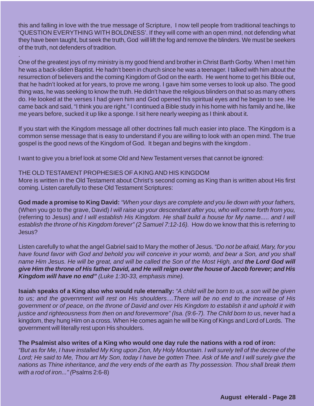this and falling in love with the true message of Scripture, I now tell people from traditional teachings to 'QUESTION EVERYTHING WITH BOLDNESS'. If they will come with an open mind, not defending what they have been taught, but seek the truth, God will lift the fog and remove the blinders. We must be seekers of the truth, not defenders of tradition.

One of the greatest joys of my ministry is my good friend and brother in Christ Barth Gorby. When I met him he was a back-sliden Baptist. He hadn't been in church since he was a teenager. I talked with him about the resurrection of believers and the coming Kingdom of God on the earth. He went home to get his Bible out, that he hadn't looked at for years, to prove me wrong. I gave him some verses to look up also. The good thing was, he was seeking to know the truth. He didn't have the religious blinders on that so as many others do. He looked at the verses I had given him and God opened his spiritual eyes and he began to see. He came back and said, "I think you are right." I continued a Bible study in his home with his family and he, like me years before, sucked it up like a sponge. I sit here nearly weeping as I think about it.

If you start with the Kingdom message all other doctrines fall much easier into place. The Kingdom is a common sense message that is easy to understand if you are willing to look with an open mind. The true gospel is the good news of the Kingdom of God. It began and begins with the kingdom .

I want to give you a brief look at some Old and New Testament verses that cannot be ignored:

#### THE OLD TESTAMENT PROPHESIES OF A KING AND HIS KINGDOM

.

More is written in the Old Testament about Christ's second coming as King than is written about His first coming. Listen carefully to these Old Testament Scriptures:

**God made a promise to King David:** "When your days are complete and you lie down with your fathers, (When you go to the grave, David) I will raise up your descendant after you, who will come forth from you, (referring to Jesus) and I will establish His Kingdom. He shall build a house for My name..... and I will establish the throne of his Kingdom forever" (2 Samuel 7:12-16). How do we know that this is referring to Jesus?

Listen carefully to what the angel Gabriel said to Mary the mother of Jesus. "Do not be afraid, Mary, for you have found favor with God and behold you will conceive in your womb, and bear a Son, and you shall name Him Jesus. He will be great, and will be called the Son of the Most High, and **the Lord God will give Him the throne of His father David, and He will reign over the house of Jacob forever; and His Kingdom will have no end"** (Luke 1:30-33, emphasis mine).

**Isaiah speaks of a King also who would rule eternally:** "A child will be born to us, a son will be given to us; and the government will rest on His shoulders....There will be no end to the increase of His government or of peace, on the throne of David and over His Kingdom to establish it and uphold it with justice and righteousness from then on and forevermore" (Isa. (9:6-7). The Child born to us, never had a kingdom, they hung Him on a cross. When He comes again he will be King of Kings and Lord of Lords. The government will literally rest upon His shoulders.

#### **The Psalmist also writes of a King who would one day rule the nations with a rod of iron:**

"But as for Me, I have installed My King upon Zion, My Holy Mountain. I will surely tell of the decree of the Lord; He said to Me, Thou art My Son, today I have be gotten Thee. Ask of Me and I will surely give the nations as Thine inheritance, and the very ends of the earth as Thy possession. Thou shall break them with a rod of iron..." (Psalms 2:6-8)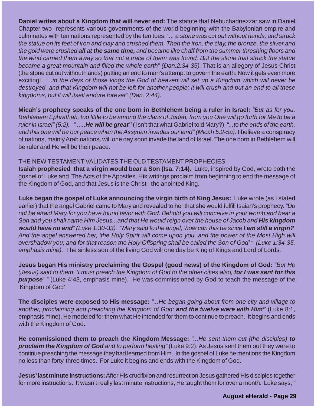**Daniel writes about a Kingdom that will never end:** The statute that Nebuchadnezzar saw in Daniel Chapter two represents various governments of the world beginning with the Babylonian empire and culminates with ten nations represented by the ten toes. "... a stone was cut out without hands, and struck the statue on its feet of iron and clay and crushed them. Then the iron, the clay, the bronze, the silver and the gold were crushed **all at the same time,** and became like chaff from the summer threshing floors and the wind carried them away so that not a trace of them was found. But the stone that struck the statue became a great mountain and filled the whole earth" (Dan.2:34-35). That is an allegory of Jesus Christ (the stone cut out without hands) putting an end to man's attempt to govern the earth. Now it gets even more exciting! "...in the days of those kings the God of heaven will set up a Kingdom which will never be destroyed, and that Kingdom will not be left for another people; it will crush and put an end to all these kingdoms, but it will itself endure forever" (Dan. 2:44).

**Micah's prophecy speaks of the one born in Bethlehem being a ruler in Israel:** "But as for you, Bethlehem Ephrathah, too little to be among the clans of Judah, from you One will go forth for Me to be a ruler in Israel" (5:2). "......**He will be great"** ( Isn't that what Gabriel told Mary?) "...to the ends of the earth, and this one will be our peace when the Assyrian invades our land" (Micah 5:2-5a). I believe a conspiracy of nations, mainly Arab nations, will one day soon invade the land of Israel. The one born in Bethlehem will be ruler and He will be their peace.

#### THE NEW TESTAMENT VALIDATES THE OLD TESTAMENT PROPHECIES

**Isaiah prophesied that a virgin would bear a Son (Isa. 7:14).** Luke, inspired by God, wrote both the gospel of Luke and The Acts of the Apostles. His writings proclaim from beginning to end the message of the Kingdom of God, and that Jesus is the Christ - the anointed King.

**Luke began the gospel of Luke announcing the virgin birth of King Jesus:** Luke wrote (as I stated earlier) that the angel Gabriel came to Mary and revealed to her that she would fulfill Isaiah's prophecy. "Do not be afraid Mary for you have found favor with God. Behold you will conceive in your womb and bear a Son and you shall name Him Jesus...and that He would reign over the house of Jacob and **His kingdom would have no end**" (Luke 1:30-33). "Mary said to the angel, 'how can this be since **I am still a virgin?**' And the angel answered her, 'the Holy Spirit will come upon you, and the power of the Most High will overshadow you; and for that reason the Holy Offspring shall be called the Son of God' " (Luke 1:34-35, emphasis mine). The sinless son of the living God will one day be King of Kings and Lord of Lords.

**Jesus began His ministry proclaiming the Gospel (good news) of the Kingdom of God:** "But He (Jesus) said to them, 'I must preach the Kingdom of God to the other cities also, **for I was sent for this purpose'** " (Luke 4:43, emphasis mine). He was commissioned by God to teach the message of the 'Kingdom of God'.

**The disciples were exposed to His message:** "...He began going about from one city and village to another, proclaiming and preaching the Kingdom of God; **and the twelve were with Him"** (Luke 8:1, emphasis mine). He modeled for them what He intended for them to continue to preach. It begins and ends with the Kingdom of God.

**He commissioned them to preach the Kingdom Message:** "...He sent them out (the disciples) **to proclaim the Kingdom of God** and to perform healing" (Luke 9:2). As Jesus sent them out they were to continue preaching the message they had learned from Him. In the gospel of Luke he mentions the Kingdom no less than forty-three times. For Luke it begins and ends with the Kingdom of God.

**Jesus' last minute instructions:**After His crucifixion and resurrection Jesus gathered His disciples together for more instructions. It wasn't really last minute instructions, He taught them for over a month. Luke says, "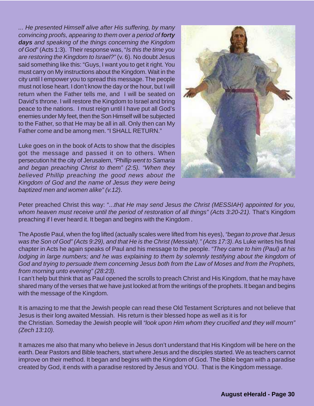... He presented Himself alive after His suffering, by many convincing proofs, appearing to them over a period of **forty days** and speaking of the things concerning the Kingdom of God" (Acts 1:3). Their response was, "Is this the time you are restoring the Kingdom to Israel?" (v. 6). No doubt Jesus said something like this: "Guys, I want you to get it right. You must carry on My instructions about the Kingdom. Wait in the city until I empower you to spread this message. The people must not lose heart. I don't know the day or the hour, but I will return when the Father tells me, and I will be seated on David's throne. I will restore the Kingdom to Israel and bring peace to the nations. I must reign until I have put all God's enemies under My feet, then the Son Himself will be subjected to the Father, so that He may be all in all. Only then can My Father come and be among men. "I SHALL RETURN."

Luke goes on in the book of Acts to show that the disciples got the message and passed it on to others. When persecution hit the city of Jerusalem, "Phillip went to Samaria and began preaching Christ to them" (2:5). "When they believed Phillip preaching the good news about the Kingdom of God and the name of Jesus they were being baptized men and women alike" (v.12).



Peter preached Christ this way: "...that He may send Jesus the Christ (MESSIAH) appointed for you, whom heaven must receive until the period of restoration of all things" (Acts 3:20-21). That's Kingdom preaching if I ever heard it. It began and begins with the Kingdom .

The Apostle Paul, when the fog lifted (actually scales were lifted from his eyes), "began to prove that Jesus was the Son of God" (Acts 9:29), and that He is the Christ (Messiah)." (Acts 17:3). As Luke writes his final chapter in Acts he again speaks of Paul and his message to the people. "They came to him (Paul) at his lodging in large numbers; and he was explaining to them by solemnly testifying about the kingdom of God and trying to persuade them concerning Jesus both from the Law of Moses and from the Prophets, from morning unto evening" (28:23).

I can't help but think that as Paul opened the scrolls to preach Christ and His Kingdom, that he may have shared many of the verses that we have just looked at from the writings of the prophets. It began and begins with the message of the Kingdom.

It is amazing to me that the Jewish people can read these Old Testament Scriptures and not believe that Jesus is their long awaited Messiah. His return is their blessed hope as well as it is for the Christian. Someday the Jewish people will "look upon Him whom they crucified and they will mourn" (Zech 13:10).

It amazes me also that many who believe in Jesus don't understand that His Kingdom will be here on the earth. Dear Pastors and Bible teachers, start where Jesus and the disciples started. We as teachers cannot improve on their method. It began and begins with the Kingdom of God. The Bible began with a paradise created by God, it ends with a paradise restored by Jesus and YOU. That is the Kingdom message.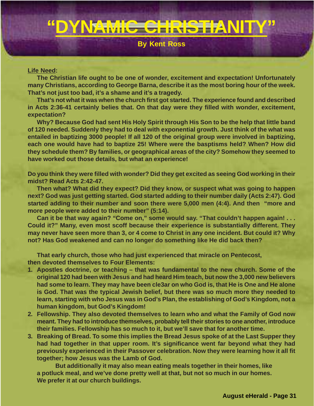## **"DYNAMIC CHRISTIANITY"**

#### **By Kent Ross**

#### **Life Need:**

**The Christian life ought to be one of wonder, excitement and expectation! Unfortunately many Christians, according to George Barna, describe it as the most boring hour of the week. That's not just too bad, it's a shame and it's a tragedy.**

**That's not what it was when the church first got started. The experience found and described in Acts 2:36-41 certainly belies that. On that day were they filled with wonder, excitement, expectation?**

**Why? Because God had sent His Holy Spirit through His Son to be the help that little band of 120 needed. Suddenly they had to deal with exponential growth. Just think of the what was entailed in baptizing 3000 people! If all 120 of the original group were involved in baptizing, each one would have had to baptize 25! Where were the basptisms held? When? How did they schedule them? By families, or geographical areas of the city? Somehow they seemed to have worked out those details, but what an experience!**

**Do you think they were filled with wonder? Did they get excited as seeing God working in their midst? Read Acts 2:42-47.**

**Then what? What did they expect? Did they know, or suspect what was going to happen next? God was just getting started. God started adding to their number daily (Acts 2:47). God started adding to their number and soon there were 5,000 men (4:4). And then "more and more people were added to their number" (5:14).**

**Can it be that way again? "Come on," some would say. "That couldn't happen again! . . . Could it?" Many, even most scoff because their experience is substantially different. They may never have seen more than 3, or 4 come to Christ in any one incident. But could it? Why not? Has God weakened and can no longer do something like He did back then?**

**That early church, those who had just experienced that miracle on Pentecost, then devoted themselves to Four Elements:**

- **1. Apostles doctrine, or teaching that was fundamental to the new church. Some of the original 120 had been with Jesus and had heard Him teach, but now the 3,000 new believers had some to learn. They may have been cle3ar on who God is, that He is One and He alone is God. That was the typical Jewish belief, but there was so much more they needed to learn, starting with who Jesus was in God's Plan, the establishing of God's Kingdom, not a human kingdom, but God's Kingdom!**
- **2. Fellowship. They also devoted themselves to learn who and what the Family of God now meant. They had to introduce themselves, probably tell their stories to one another, introduce their families. Fellowship has so much to it, but we'll save that for another time.**
- **3. Breaking of Bread. To some this implies the Bread Jesus spoke of at the Last Supper they had had together in that upper room. It's significance went far beyond what they had previously experienced in their Passover celebration. Now they were learning how it all fit together; how Jesus was the Lamb of God.**

**But additionally it may also mean eating meals together in their homes, like a potluck meal, and we've done pretty well at that, but not so much in our homes. We prefer it at our church buildings.**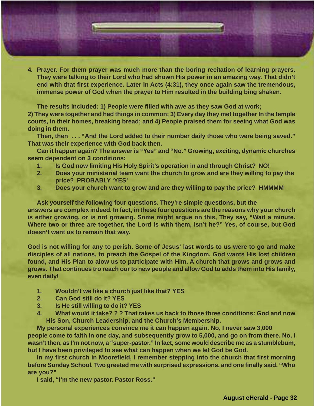**4. Prayer. For them prayer was much more than the boring recitation of learning prayers. They were talking to their Lord who had shown His power in an amazing way. That didn't end with that first experience. Later in Acts (4:31), they once again saw the tremendous, immense power of God when the prayer to Him resulted in the building bing shaken.**

**The results included: 1) People were filled with awe as they saw God at work; 2) They were together and had things in common; 3) Every day they met together In the temple courts, in their homes, breaking bread; and 4) People praised them for seeing what God was doing in them.**

**Then, then . . . "And the Lord added to their number daily those who were being saved." That was their experience with God back then.**

**Can it happen again? The answer is "Yes" and "No." Growing, exciting, dynamic churches seem dependent on 3 conditions:**

- **1. Is God now limiting His Holy Spirit's operation in and through Christ? NO!**
- **2. Does your ministerial team want the church to grow and are they willing to pay the price? PROBABLY 'YES'**
- **3. Does your church want to grow and are they willing to pay the price? HMMMM**

**Ask yourself the following four questions. They're simple questions, but the answers are complex indeed. In fact, in these four questions are the reasons why your church is either growing, or is not growing. Some might argue on this, They say, "Wait a minute. Where two or three are together, the Lord is with them, isn't he?" Yes, of course, but God doesn't want us to remain that way.**

**God is not willing for any to perish. Some of Jesus' last words to us were to go and make disciples of all nations, to preach the Gospel of the Kingdom. God wants His lost children found, and His Plan to alow us to participate with Him. A church that grows and grows and grows. That continues tro reach our to new people and allow God to adds them into His family, even daily!**

- **1. Wouldn't we like a church just like that? YES**
- **2. Can God still do it? YES**
- **3. Is He still willing to do it? YES**
- **4. What would it take? ? ? That takes us back to those three conditions: God and now His Son, Church Leadership, and the Church's Membership.**

**My personal experiences convince me it can happen again. No, I never saw 3,000 people come to faith in one day, and subsequently grow to 5,000, and go on from there. No, I wasn't then, as I'm not now, a "super-pastor." In fact, some would describe me as a stumblebum, but I have been privileged to see what can happen when we let God be God.**

**In my first church in Moorefield, I remember stepping into the church that first morning before Sunday School. Two greeted me with surprised expressions, and one finally said, "Who are you?"**

**I said, "I'm the new pastor. Pastor Ross."**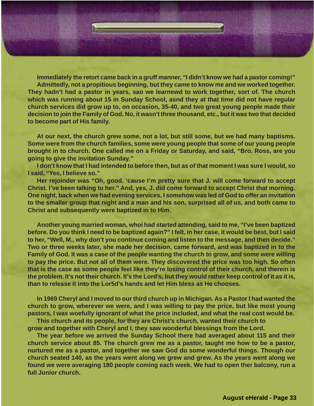**Immediately the retort came back in a gruff manner, "I didn't know we had a pastor coming!" Admittedly, not a propitious beginning, but they came to know me and we worked together. They hadn't had a pastor in years, sao we learnewd to work together, sort of. The church which was running about 15 in Sunday School, asnd they at that time did not have regular church services did grow up to, on occasion, 35-40, and two great young people made their decision to join the Family of God. No, it wasn't three thousand, etc., but it was two that decided to become part of His family.**

**At our next, the church grew some, not a lot, but still some, but we had many baptisms. Some were from the church families, some were young people that some of our young people brought in to church. One called me on a Friday or Saturday, and said, "Bro. Ross, are you going to give the invitation Sunday."**

**I don't know that I had intended to before then, but as of that moment I was sure I would, so I said, "Yes, I believe so."**

**Her rejoinder was "Oh, good. 'cause I'm pretty sure that J. will come forward to accept Christ. I've been talking to her." And, yes, J. did come forward to accept Christ that morning. One night, back when we had evening services, I somehow was led of God to offer an invitation to the smaller group that night and a man and his son, surprised all of us, and both came to Christ and subsequently were baptized in to Him.**

**Another young married woman, whoi had started attending, said to me, "I've been baptized before. Do you think I need to be baptized again?" I felt, in her case, it would be best, but I said to her, "Well, M., why don't you continue coming and listen to the message, and then decide." Two or three weeks later, she made her decision, came forward, and was baptized in to the Family of God. It was a case of the people wanting the church to grow, and some were willing to pay the price. But not all of them were. They discovered the price was too high. So often that is the case as some people feel like they're losing control of their church, and therein is the problem. It's not their church. It's the Lord's, but they would rather keep control of it as it is, than to release it into the Lor5d's hands and let Him bless as He chooses.**

**In 1969 Cheryl and I moved to our third church up in Michigan. As a Pastor I had wanted the church to grow, wherever we were, and I was willing to pay the price, but like most young pastors, I was woefully ignorant of what the price included, and what the real cost would be.**

**This church and its people, for they are Christ's church, wanted their church to grow and together with Cheryl and I, they saw wonderful blessings from the Lord.**

**The year before we arrived the Sunday School there had averaged about 115 and their church service about 85. The church grew me as a pastor, taught me how to be a pastor, nurtured me as a pastor, and together we saw God do some wonderful things. Though our church seated 140, as the years went along we grew and grew. As the years went along we found we were averaging 180 people coming each week. We had to open ther balcony, run a full Junior church.**